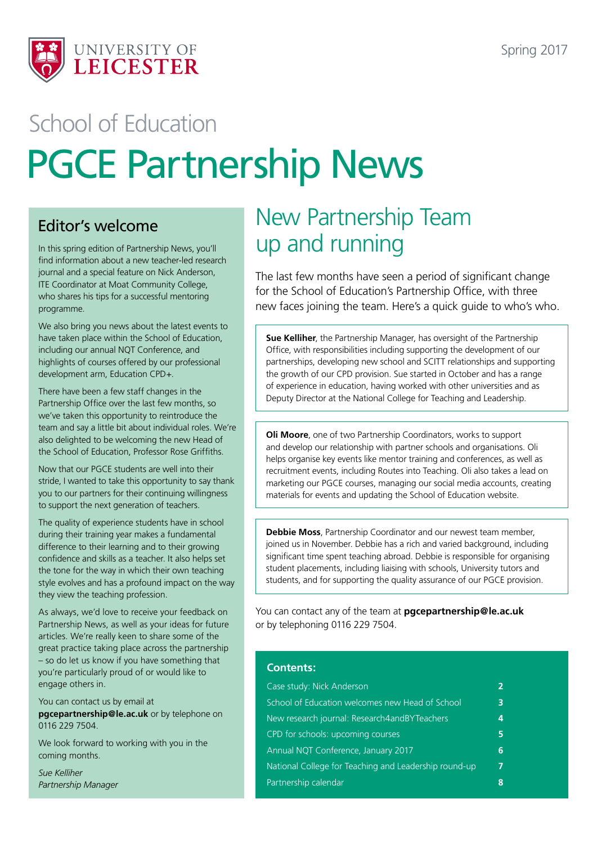

# PGCE Partnership News School of Education

## Editor's welcome

In this spring edition of Partnership News, you'll find information about a new teacher-led research journal and a special feature on Nick Anderson, ITE Coordinator at Moat Community College, who shares his tips for a successful mentoring programme.

We also bring you news about the latest events to have taken place within the School of Education, including our annual NQT Conference, and highlights of courses offered by our professional development arm, Education CPD+.

There have been a few staff changes in the Partnership Office over the last few months, so we've taken this opportunity to reintroduce the team and say a little bit about individual roles. We're also delighted to be welcoming the new Head of the School of Education, Professor Rose Griffiths.

Now that our PGCE students are well into their stride, I wanted to take this opportunity to say thank you to our partners for their continuing willingness to support the next generation of teachers.

The quality of experience students have in school during their training year makes a fundamental difference to their learning and to their growing confidence and skills as a teacher. It also helps set the tone for the way in which their own teaching style evolves and has a profound impact on the way they view the teaching profession.

As always, we'd love to receive your feedback on Partnership News, as well as your ideas for future articles. We're really keen to share some of the great practice taking place across the partnership – so do let us know if you have something that you're particularly proud of or would like to engage others in.

You can contact us by email at **pgcepartnership@le.ac.uk** or by telephone on 0116 229 7504.

We look forward to working with you in the coming months.

*Sue Kelliher Partnership Manager*

## New Partnership Team up and running

The last few months have seen a period of significant change for the School of Education's Partnership Office, with three new faces joining the team. Here's a quick guide to who's who.

**Sue Kelliher**, the Partnership Manager, has oversight of the Partnership Office, with responsibilities including supporting the development of our partnerships, developing new school and SCITT relationships and supporting the growth of our CPD provision. Sue started in October and has a range of experience in education, having worked with other universities and as Deputy Director at the National College for Teaching and Leadership.

**Oli Moore**, one of two Partnership Coordinators, works to support and develop our relationship with partner schools and organisations. Oli helps organise key events like mentor training and conferences, as well as recruitment events, including Routes into Teaching. Oli also takes a lead on marketing our PGCE courses, managing our social media accounts, creating materials for events and updating the School of Education website.

**Debbie Moss**, Partnership Coordinator and our newest team member, joined us in November. Debbie has a rich and varied background, including significant time spent teaching abroad. Debbie is responsible for organising student placements, including liaising with schools, University tutors and students, and for supporting the quality assurance of our PGCE provision.

You can contact any of the team at **pgcepartnership@le.ac.uk** or by telephoning 0116 229 7504.

#### **Contents:**

| 3 |
|---|
| 4 |
| 5 |
| 6 |
|   |
| 8 |
|   |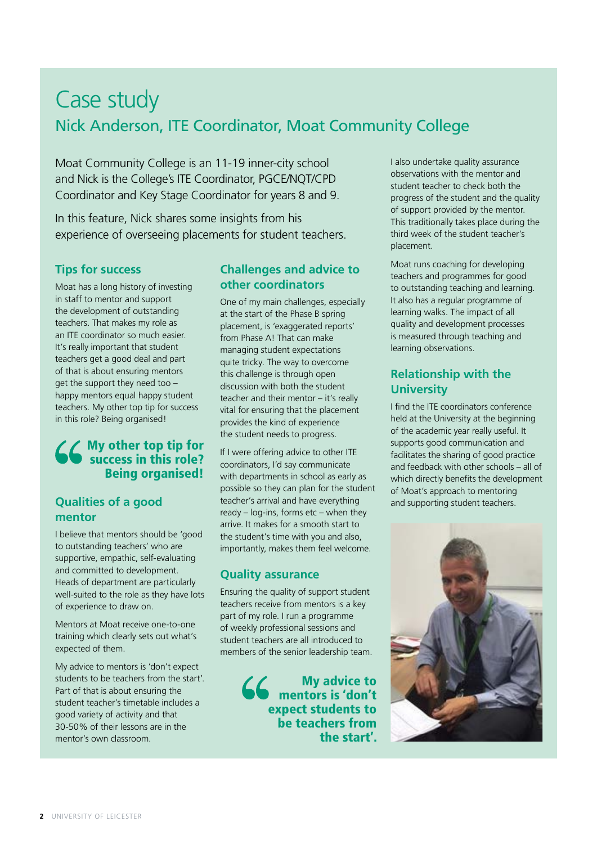## Case study Nick Anderson, ITE Coordinator, Moat Community College

Moat Community College is an 11-19 inner-city school and Nick is the College's ITE Coordinator, PGCE/NQT/CPD Coordinator and Key Stage Coordinator for years 8 and 9.

In this feature, Nick shares some insights from his experience of overseeing placements for student teachers.

### **Tips for success**

Moat has a long history of investing in staff to mentor and support the development of outstanding teachers. That makes my role as an ITE coordinator so much easier. It's really important that student teachers get a good deal and part of that is about ensuring mentors get the support they need too – happy mentors equal happy student teachers. My other top tip for success in this role? Being organised!

### My other top tip for success in this role? Being organised!

### **Qualities of a good mentor**

I believe that mentors should be 'good to outstanding teachers' who are supportive, empathic, self-evaluating and committed to development. Heads of department are particularly well-suited to the role as they have lots of experience to draw on.

Mentors at Moat receive one-to-one training which clearly sets out what's expected of them.

My advice to mentors is 'don't expect students to be teachers from the start'. Part of that is about ensuring the student teacher's timetable includes a good variety of activity and that 30-50% of their lessons are in the mentor's own classroom.

### **Challenges and advice to other coordinators**

One of my main challenges, especially at the start of the Phase B spring placement, is 'exaggerated reports' from Phase A! That can make managing student expectations quite tricky. The way to overcome this challenge is through open discussion with both the student teacher and their mentor – it's really vital for ensuring that the placement provides the kind of experience the student needs to progress.

If I were offering advice to other ITE coordinators, I'd say communicate with departments in school as early as possible so they can plan for the student teacher's arrival and have everything ready – log-ins, forms etc – when they arrive. It makes for a smooth start to the student's time with you and also, importantly, makes them feel welcome.

#### **Quality assurance**

Ensuring the quality of support student teachers receive from mentors is a key part of my role. I run a programme of weekly professional sessions and student teachers are all introduced to members of the senior leadership team.

> My advice to mentors is 'don't expect students to be teachers from the start'.

I also undertake quality assurance observations with the mentor and student teacher to check both the progress of the student and the quality of support provided by the mentor. This traditionally takes place during the third week of the student teacher's placement.

Moat runs coaching for developing teachers and programmes for good to outstanding teaching and learning. It also has a regular programme of learning walks. The impact of all quality and development processes is measured through teaching and learning observations.

### **Relationship with the University**

I find the ITE coordinators conference held at the University at the beginning of the academic year really useful. It supports good communication and facilitates the sharing of good practice and feedback with other schools – all of which directly benefits the development of Moat's approach to mentoring and supporting student teachers.

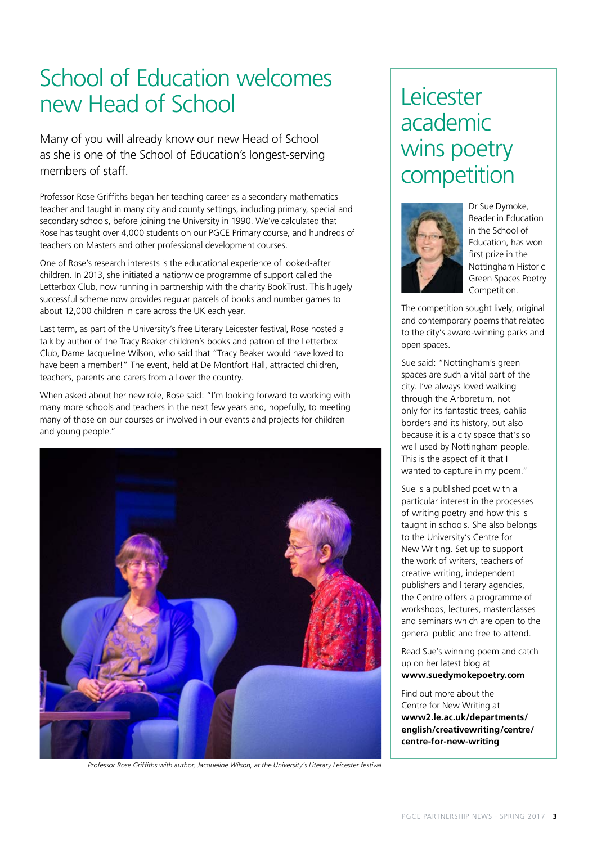## School of Education welcomes new Head of School

Many of you will already know our new Head of School as she is one of the School of Education's longest-serving members of staff.

Professor Rose Griffiths began her teaching career as a secondary mathematics teacher and taught in many city and county settings, including primary, special and secondary schools, before joining the University in 1990. We've calculated that Rose has taught over 4,000 students on our PGCE Primary course, and hundreds of teachers on Masters and other professional development courses.

One of Rose's research interests is the educational experience of looked-after children. In 2013, she initiated a nationwide programme of support called the Letterbox Club, now running in partnership with the charity BookTrust. This hugely successful scheme now provides regular parcels of books and number games to about 12,000 children in care across the UK each year.

Last term, as part of the University's free Literary Leicester festival, Rose hosted a talk by author of the Tracy Beaker children's books and patron of the Letterbox Club, Dame Jacqueline Wilson, who said that "Tracy Beaker would have loved to have been a member!" The event, held at De Montfort Hall, attracted children, teachers, parents and carers from all over the country.

When asked about her new role, Rose said: "I'm looking forward to working with many more schools and teachers in the next few years and, hopefully, to meeting many of those on our courses or involved in our events and projects for children and young people."



*Professor Rose Griffiths with author, Jacqueline Wilson, at the University's Literary Leicester festival* 

## Leicester academic wins poetry competition



Dr Sue Dymoke, Reader in Education in the School of Education, has won first prize in the Nottingham Historic Green Spaces Poetry Competition.

The competition sought lively, original and contemporary poems that related to the city's award-winning parks and open spaces.

Sue said: "Nottingham's green spaces are such a vital part of the city. I've always loved walking through the Arboretum, not only for its fantastic trees, dahlia borders and its history, but also because it is a city space that's so well used by Nottingham people. This is the aspect of it that I wanted to capture in my poem."

Sue is a published poet with a particular interest in the processes of writing poetry and how this is taught in schools. She also belongs to the University's Centre for New Writing. Set up to support the work of writers, teachers of creative writing, independent publishers and literary agencies, the Centre offers a programme of workshops, lectures, masterclasses and seminars which are open to the general public and free to attend.

Read Sue's winning poem and catch up on her latest blog at **www.suedymokepoetry.co[m](https://suedymokepoetry.com/)**

Find out more about the Centre for New Writing at **[www2.le.ac.uk/departments/](http://www2.le.ac.uk/departments/english/creativewriting/centre/centre-for-new-writing) [english/creativewriting/centre/](http://www2.le.ac.uk/departments/english/creativewriting/centre/centre-for-new-writing) [centre-for-new-writing](http://www2.le.ac.uk/departments/english/creativewriting/centre/centre-for-new-writing)**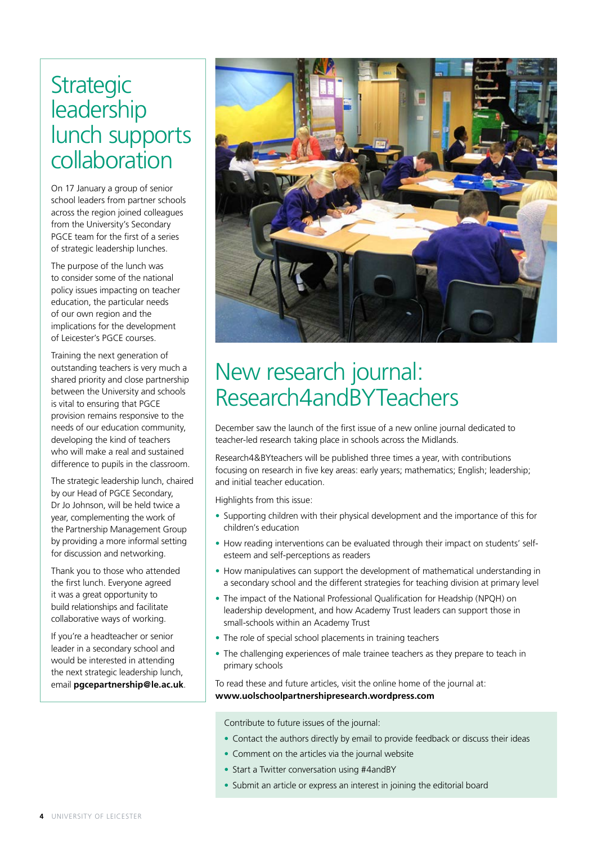## **Strategic** leadership lunch supports collaboration

On 17 January a group of senior school leaders from partner schools across the region joined colleagues from the University's Secondary PGCE team for the first of a series of strategic leadership lunches.

The purpose of the lunch was to consider some of the national policy issues impacting on teacher education, the particular needs of our own region and the implications for the development of Leicester's PGCE courses.

Training the next generation of outstanding teachers is very much a shared priority and close partnership between the University and schools is vital to ensuring that PGCE provision remains responsive to the needs of our education community, developing the kind of teachers who will make a real and sustained difference to pupils in the classroom.

The strategic leadership lunch, chaired by our Head of PGCE Secondary, Dr Jo Johnson, will be held twice a year, complementing the work of the Partnership Management Group by providing a more informal setting for discussion and networking.

Thank you to those who attended the first lunch. Everyone agreed it was a great opportunity to build relationships and facilitate collaborative ways of working.

If you're a headteacher or senior leader in a secondary school and would be interested in attending the next strategic leadership lunch, email **pgcepartnership@le.ac.uk**.



## New research journal: Research4andBYTeachers

December saw the launch of the first issue of a new online journal dedicated to teacher-led research taking place in schools across the Midlands.

Research4&BYteachers will be published three times a year, with contributions focusing on research in five key areas: early years; mathematics; English; leadership; and initial teacher education.

Highlights from this issue:

- Supporting children with their physical development and the importance of this for children's education
- How reading interventions can be evaluated through their impact on students' selfesteem and self-perceptions as readers
- How manipulatives can support the development of mathematical understanding in a secondary school and the different strategies for teaching division at primary level
- The impact of the National Professional Qualification for Headship (NPQH) on leadership development, and how Academy Trust leaders can support those in small-schools within an Academy Trust
- The role of special school placements in training teachers
- The challenging experiences of male trainee teachers as they prepare to teach in primary schools

To read these and future articles, visit the online home of the journal at: **[www.uolschoolpartnershipresearch.wordpress.com](http://www.uolschoolpartnershipresearch.wordpress.com)**

Contribute to future issues of the journal:

- Contact the authors directly by email to provide feedback or discuss their ideas
- Comment on the articles via the journal website
- Start a Twitter conversation using #4andBY
- Submit an article or express an interest in joining the editorial board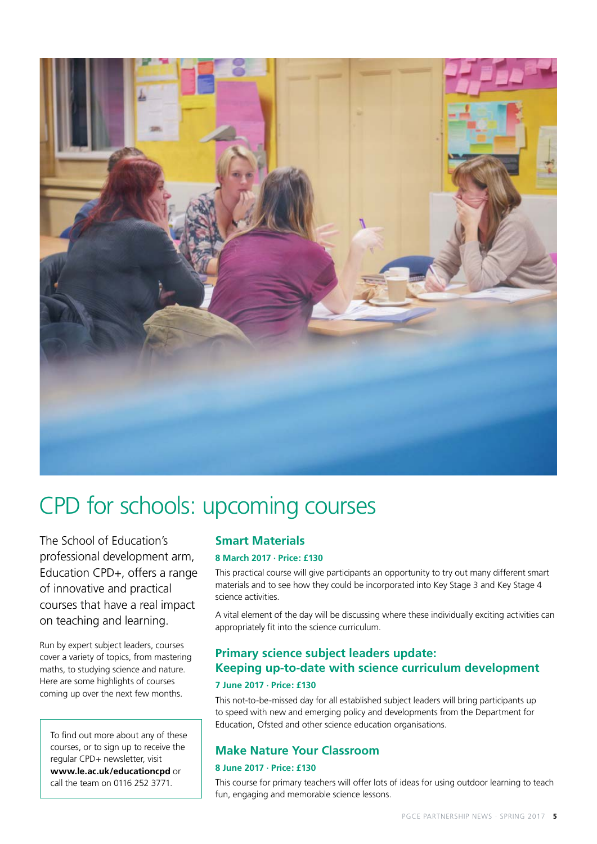

## CPD for schools: upcoming courses

The School of Education's professional development arm, Education CPD+, offers a range of innovative and practical courses that have a real impact on teaching and learning.

Run by expert subject leaders, courses cover a variety of topics, from mastering maths, to studying science and nature. Here are some highlights of courses coming up over the next few months.

To find out more about any of these courses, or to sign up to receive the regular CPD+ newsletter, visit **www.le.ac.uk/educationcpd** or call the team on 0116 252 3771.

### **Smart Materials**

#### **8 March 2017 · Price: £130**

This practical course will give participants an opportunity to try out many different smart materials and to see how they could be incorporated into Key Stage 3 and Key Stage 4 science activities.

A vital element of the day will be discussing where these individually exciting activities can appropriately fit into the science curriculum.

### **Primary science subject leaders update: Keeping up-to-date with science curriculum development 7 June 2017 · Price: £130**

This not-to-be-missed day for all established subject leaders will bring participants up to speed with new and emerging policy and developments from the Department for Education, Ofsted and other science education organisations.

#### **Make Nature Your Classroom**

#### **8 June 2017 · Price: £130**

This course for primary teachers will offer lots of ideas for using outdoor learning to teach fun, engaging and memorable science lessons.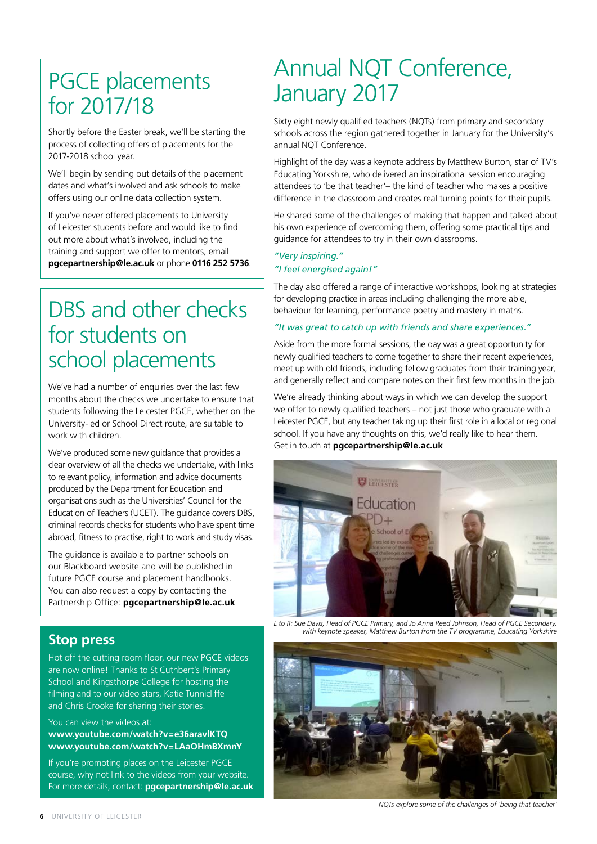## PGCE placements for 2017/18

Shortly before the Easter break, we'll be starting the process of collecting offers of placements for the 2017-2018 school year.

We'll begin by sending out details of the placement dates and what's involved and ask schools to make offers using our online data collection system.

If you've never offered placements to University of Leicester students before and would like to find out more about what's involved, including the training and support we offer to mentors, email **pgcepartnership@le.ac.uk** or phone **0116 252 5736**.

## DBS and other checks for students on school placements

We've had a number of enquiries over the last few months about the checks we undertake to ensure that students following the Leicester PGCE, whether on the University-led or School Direct route, are suitable to work with children.

We've produced some new guidance that provides a clear overview of all the checks we undertake, with links to relevant policy, information and advice documents produced by the Department for Education and organisations such as the Universities' Council for the Education of Teachers (UCET). The guidance covers DBS, criminal records checks for students who have spent time abroad, fitness to practise, right to work and study visas.

The guidance is available to partner schools on our Blackboard website and will be published in future PGCE course and placement handbooks. You can also request a copy by contacting the Partnership Office: **pgcepartnership@le.ac.uk**

### **Stop press**

Hot off the cutting room floor, our new PGCE videos are now online! Thanks to St Cuthbert's Primary School and Kingsthorpe College for hosting the filming and to our video stars, Katie Tunnicliffe and Chris Crooke for sharing their stories.

You can view the videos at:

#### **[www.youtube.com/watch?v=e36aravlKTQ](https://www.youtube.com/watch?v=e36aravlKTQ) [www.youtube.com/watch?v=LAaOHmBXmnY](https://www.youtube.com/watch?v=LAaOHmBXmnY)**

If you're promoting places on the Leicester PGCE course, why not link to the videos from your website. For more details, contact: **pgcepartnership@le.ac.uk**

## Annual NQT Conference, January 2017

Sixty eight newly qualified teachers (NQTs) from primary and secondary schools across the region gathered together in January for the University's annual NQT Conference.

Highlight of the day was a keynote address by Matthew Burton, star of TV's Educating Yorkshire, who delivered an inspirational session encouraging attendees to 'be that teacher'– the kind of teacher who makes a positive difference in the classroom and creates real turning points for their pupils.

He shared some of the challenges of making that happen and talked about his own experience of overcoming them, offering some practical tips and guidance for attendees to try in their own classrooms.

### *"Very inspiring."*

#### *"I feel energised again!"*

The day also offered a range of interactive workshops, looking at strategies for developing practice in areas including challenging the more able, behaviour for learning, performance poetry and mastery in maths.

#### *"It was great to catch up with friends and share experiences."*

Aside from the more formal sessions, the day was a great opportunity for newly qualified teachers to come together to share their recent experiences, meet up with old friends, including fellow graduates from their training year, and generally reflect and compare notes on their first few months in the job.

We're already thinking about ways in which we can develop the support we offer to newly qualified teachers – not just those who graduate with a Leicester PGCE, but any teacher taking up their first role in a local or regional school. If you have any thoughts on this, we'd really like to hear them. Get in touch at **pgcepartnership@le.ac.uk**



*L to R: Sue Davis, Head of PGCE Primary, and Jo Anna Reed Johnson, Head of PGCE Secondary, with keynote speaker, Matthew Burton from the TV programme, Educating Yorkshire*



*NQTs explore some of the challenges of 'being that teacher'*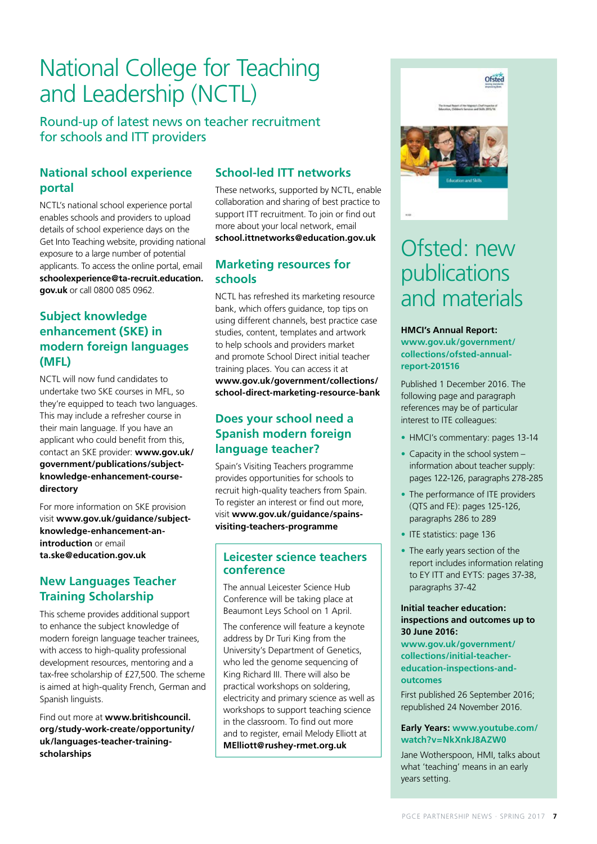## National College for Teaching and Leadership (NCTL)

Round-up of latest news on teacher recruitment for schools and ITT providers

### **National school experience portal**

NCTL's national school experience portal enables schools and providers to upload details of school experience days on the Get Into Teaching website, providing national exposure to a large number of potential applicants. To access the online portal, email **[schoolexperience@ta-recruit.education.](mailto:schoolexperience%40ta-recruit.education.gov.uk?subject=) [gov.uk](mailto:schoolexperience%40ta-recruit.education.gov.uk?subject=)** or call 0800 085 0962.

### **Subject knowledge enhancement (SKE) in modern foreign languages (MFL)**

NCTL will now fund candidates to undertake two SKE courses in MFL, so they're equipped to teach two languages. This may include a refresher course in their main language. If you have an applicant who could benefit from this, contact an SKE provider: **[www.gov.uk/](http://www.gov.uk/government/publications/subject-knowledge-enhancement-course-directory) [government/publications/subject](http://www.gov.uk/government/publications/subject-knowledge-enhancement-course-directory)[knowledge-enhancement-course](http://www.gov.uk/government/publications/subject-knowledge-enhancement-course-directory)[directory](http://www.gov.uk/government/publications/subject-knowledge-enhancement-course-directory)**

For more information on SKE provision visit **[www.gov.uk/guidance/subject](http://www.gov.uk/guidance/subject-knowledge-enhancement-an-introduction)[knowledge-enhancement-an](http://www.gov.uk/guidance/subject-knowledge-enhancement-an-introduction)[introduction](http://www.gov.uk/guidance/subject-knowledge-enhancement-an-introduction)** or email **[ta.ske@education.gov.uk](mailto:ta.ske%40education.gov.uk?subject=)**

### **New Languages Teacher Training Scholarship**

This scheme provides additional support to enhance the subject knowledge of modern foreign language teacher trainees, with access to high-quality professional development resources, mentoring and a tax-free scholarship of £27,500. The scheme is aimed at high-quality French, German and Spanish linguists.

Find out more at **[www.britishcouncil.](http://www.britishcouncil.org/study-work-create/opportunity/uk/languages-teacher-training-scholarships  ) [org/study-work-create/opportunity/](http://www.britishcouncil.org/study-work-create/opportunity/uk/languages-teacher-training-scholarships  ) [uk/languages-teacher-training](http://www.britishcouncil.org/study-work-create/opportunity/uk/languages-teacher-training-scholarships  )[scholarships](http://www.britishcouncil.org/study-work-create/opportunity/uk/languages-teacher-training-scholarships  )**

### **School-led ITT networks**

These networks, supported by NCTL, enable collaboration and sharing of best practice to support ITT recruitment. To join or find out more about your local network, email **[school.ittnetworks@education.gov.uk](mailto:school.ittnetworks%40education.gov.uk?subject=)**

#### **Marketing resources for schools**

NCTL has refreshed its marketing resource bank, which offers guidance, top tips on using different channels, best practice case studies, content, templates and artwork to help schools and providers market and promote School Direct initial teacher training places. You can access it at **[www.gov.uk/government/collections/](http://www.gov.uk/government/collections/school-direct-marketing-resource-bank) [school-direct-marketing-resource-bank](http://www.gov.uk/government/collections/school-direct-marketing-resource-bank)**

### **Does your school need a Spanish modern foreign language teacher?**

Spain's Visiting Teachers programme provides opportunities for schools to recruit high-quality teachers from Spain. To register an interest or find out more, visit **[www.gov.uk/guidance/spains](http://www.gov.uk/guidance/spains-visiting-teachers-programme)[visiting-teachers-programme](http://www.gov.uk/guidance/spains-visiting-teachers-programme)**

#### **Leicester science teachers conference**

The annual Leicester Science Hub Conference will be taking place at Beaumont Leys School on 1 April.

The conference will feature a keynote address by Dr Turi King from the University's Department of Genetics, who led the genome sequencing of King Richard III. There will also be practical workshops on soldering, electricity and primary science as well as workshops to support teaching science in the classroom. To find out more and to register, email Melody Elliott at **MElliott@rushey-rmet.org.uk**



## Ofsted: new publications and materials

**HMCI's Annual Report: [www.gov.uk/government/](http://www.gov.uk/government/collections/ofsted-annual-report-201516) [collections/ofsted-annual](http://www.gov.uk/government/collections/ofsted-annual-report-201516)[report-201516](http://www.gov.uk/government/collections/ofsted-annual-report-201516)**

Published 1 December 2016. The following page and paragraph references may be of particular interest to ITE colleagues:

- HMCI's commentary: pages 13-14
- Capacity in the school system information about teacher supply: pages 122-126, paragraphs 278-285
- The performance of ITE providers (QTS and FE): pages 125-126, paragraphs 286 to 289
- ITE statistics: page 136
- The early years section of the report includes information relating to EY ITT and EYTS: pages 37-38, paragraphs 37-42

#### **Initial teacher education: inspections and outcomes up to 30 June 2016:**

**[www.gov.uk/government/](http://www.gov.uk/government/collections/initial-teacher-education-inspections-and-outcomes ) [collections/initial-teacher](http://www.gov.uk/government/collections/initial-teacher-education-inspections-and-outcomes )[education-inspections-and](http://www.gov.uk/government/collections/initial-teacher-education-inspections-and-outcomes )[outcomes](http://www.gov.uk/government/collections/initial-teacher-education-inspections-and-outcomes )** 

First published 26 September 2016; republished 24 November 2016.

#### **Early Years: [www.youtube.com/](http://www.youtube.com/watch?v=NkXnkJ8AZW0) [watch?v=NkXnkJ8AZW0](http://www.youtube.com/watch?v=NkXnkJ8AZW0)**

Jane Wotherspoon, HMI, talks about what 'teaching' means in an early years setting.